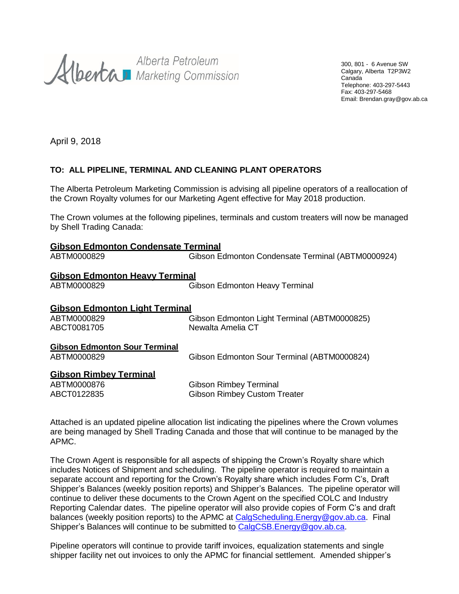Alberta Petroleum<br>Alberta Marketing Commission

300, 801 - 6 Avenue SW Calgary, Alberta T2P3W2 Canada Telephone: 403-297-5443 Fax: 403-297-5468 Email: Brendan.gray@gov.ab.ca

April 9, 2018

### **TO: ALL PIPELINE, TERMINAL AND CLEANING PLANT OPERATORS**

The Alberta Petroleum Marketing Commission is advising all pipeline operators of a reallocation of the Crown Royalty volumes for our Marketing Agent effective for May 2018 production.

The Crown volumes at the following pipelines, terminals and custom treaters will now be managed by Shell Trading Canada:

| <b>Gibson Edmonton Condensate Terminal</b> |                                                   |  |
|--------------------------------------------|---------------------------------------------------|--|
| ABTM0000829                                | Gibson Edmonton Condensate Terminal (ABTM0000924) |  |
| <b>Gibson Edmonton Heavy Terminal</b>      |                                                   |  |
| ABTM0000829                                | <b>Gibson Edmonton Heavy Terminal</b>             |  |
| <b>Gibson Edmonton Light Terminal</b>      |                                                   |  |
| ABTM0000829                                | Gibson Edmonton Light Terminal (ABTM0000825)      |  |
| ABCT0081705                                | Newalta Amelia CT                                 |  |
| <b>Gibson Edmonton Sour Terminal</b>       |                                                   |  |
| ABTM0000829                                | Gibson Edmonton Sour Terminal (ABTM0000824)       |  |
| <b>Gibson Rimbey Terminal</b>              |                                                   |  |
| ABTM0000876                                | <b>Gibson Rimbey Terminal</b>                     |  |
| ABCT0122835                                | <b>Gibson Rimbey Custom Treater</b>               |  |

Attached is an updated pipeline allocation list indicating the pipelines where the Crown volumes are being managed by Shell Trading Canada and those that will continue to be managed by the APMC.

The Crown Agent is responsible for all aspects of shipping the Crown's Royalty share which includes Notices of Shipment and scheduling. The pipeline operator is required to maintain a separate account and reporting for the Crown's Royalty share which includes Form C's, Draft Shipper's Balances (weekly position reports) and Shipper's Balances. The pipeline operator will continue to deliver these documents to the Crown Agent on the specified COLC and Industry Reporting Calendar dates. The pipeline operator will also provide copies of Form C's and draft balances (weekly position reports) to the APMC at [CalgScheduling.Energy@gov.ab.ca.](mailto:CalgScheduling.Energy@gov.ab.ca) Final Shipper's Balances will continue to be submitted to [CalgCSB.Energy@gov.ab.ca.](mailto:CalgCSB.Energy@gov.ab.ca)

Pipeline operators will continue to provide tariff invoices, equalization statements and single shipper facility net out invoices to only the APMC for financial settlement. Amended shipper's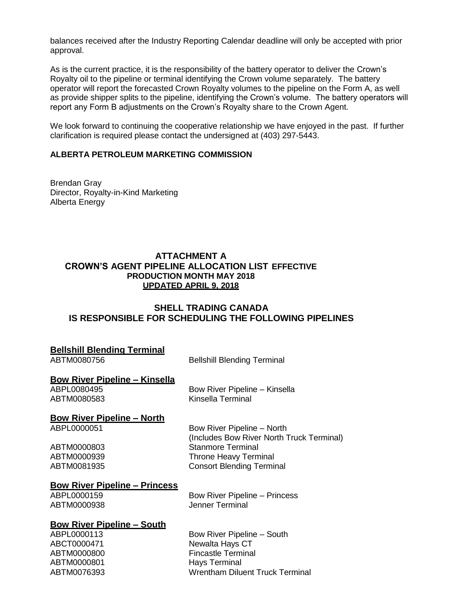balances received after the Industry Reporting Calendar deadline will only be accepted with prior approval.

As is the current practice, it is the responsibility of the battery operator to deliver the Crown's Royalty oil to the pipeline or terminal identifying the Crown volume separately. The battery operator will report the forecasted Crown Royalty volumes to the pipeline on the Form A, as well as provide shipper splits to the pipeline, identifying the Crown's volume. The battery operators will report any Form B adjustments on the Crown's Royalty share to the Crown Agent.

We look forward to continuing the cooperative relationship we have enjoyed in the past. If further clarification is required please contact the undersigned at (403) 297-5443.

#### **ALBERTA PETROLEUM MARKETING COMMISSION**

Brendan Gray Director, Royalty-in-Kind Marketing Alberta Energy

#### **ATTACHMENT A CROWN'S AGENT PIPELINE ALLOCATION LIST EFFECTIVE PRODUCTION MONTH MAY 2018 UPDATED APRIL 9, 2018**

#### **SHELL TRADING CANADA IS RESPONSIBLE FOR SCHEDULING THE FOLLOWING PIPELINES**

| <b>Bellshill Blending Terminal</b><br>ABTM0080756                                             | <b>Bellshill Blending Terminal</b>                                                                                                                                      |
|-----------------------------------------------------------------------------------------------|-------------------------------------------------------------------------------------------------------------------------------------------------------------------------|
| <u>Bow River Pipeline – Kinsella</u><br>ABPL0080495<br>ABTM0080583                            | Bow River Pipeline - Kinsella<br>Kinsella Terminal                                                                                                                      |
| <b>Bow River Pipeline - North</b><br>ABPL0000051<br>ABTM0000803<br>ABTM0000939<br>ABTM0081935 | Bow River Pipeline – North<br>(Includes Bow River North Truck Terminal)<br><b>Stanmore Terminal</b><br><b>Throne Heavy Terminal</b><br><b>Consort Blending Terminal</b> |
| <b>Bow River Pipeline - Princess</b><br>ABPL0000159<br>ABTM0000938                            | <b>Bow River Pipeline – Princess</b><br><b>Jenner Terminal</b>                                                                                                          |
| <b>Bow River Pipeline – South</b><br>ABPL0000113<br>ABCT0000471                               | Bow River Pipeline – South<br>Newalta Hays CT                                                                                                                           |

ABTM0000800 Fincastle Terminal<br>ABTM0000801 Havs Terminal

ABTM0076393 Wrentham Diluent Truck Terminal

ABTM0000801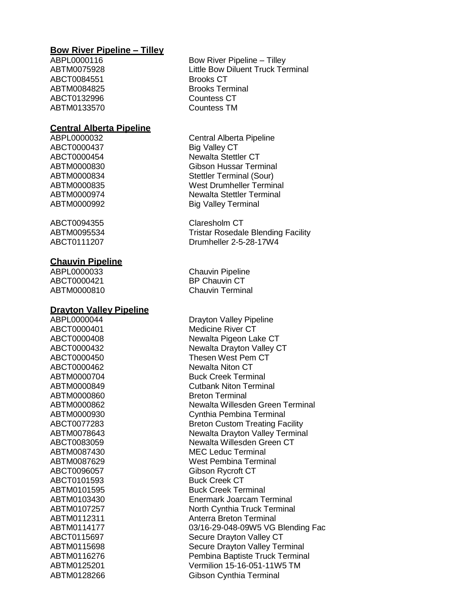#### **Bow River Pipeline – Tilley**

ABCT0084551 Brooks CT ABCT0132996 Countess CT ABTM0133570 Countess TM

#### **Central Alberta Pipeline**

ABCT0000437 Big Valley CT

ABCT0094355 Claresholm CT

#### **Chauvin Pipeline**

ABCT0000421 BP Chauvin CT

#### **Drayton Valley Pipeline**

ABTM0000860 Breton Terminal ABCT0101593 Buck Creek CT

ABPL0000116 Bow River Pipeline – Tilley ABTM0075928 Little Bow Diluent Truck Terminal ABTM0084825 Brooks Terminal

ABPL0000032 Central Alberta Pipeline ABCT0000454 Newalta Stettler CT ABTM0000830 Gibson Hussar Terminal ABTM0000834 Stettler Terminal (Sour) ABTM0000835 West Drumheller Terminal ABTM0000974 Newalta Stettler Terminal ABTM0000992 Big Valley Terminal

ABTM0095534 Tristar Rosedale Blending Facility ABCT0111207 Drumheller 2-5-28-17W4

ABPL0000033 Chauvin Pipeline ABTM0000810 Chauvin Terminal

ABPL0000044 Drayton Valley Pipeline ABCT0000401 Medicine River CT ABCT0000408 Newalta Pigeon Lake CT ABCT0000432 Newalta Drayton Valley CT ABCT0000450 Thesen West Pem CT ABCT0000462 Newalta Niton CT ABTM0000704 Buck Creek Terminal ABTM0000849 Cutbank Niton Terminal ABTM0000862 Newalta Willesden Green Terminal ABTM0000930 Cynthia Pembina Terminal ABCT0077283 Breton Custom Treating Facility ABTM0078643 Newalta Drayton Valley Terminal ABCT0083059 Newalta Willesden Green CT ABTM0087430 MEC Leduc Terminal ABTM0087629 West Pembina Terminal ABCT0096057 Gibson Rycroft CT ABTM0101595 Buck Creek Terminal ABTM0103430 Enermark Joarcam Terminal ABTM0107257 North Cynthia Truck Terminal ABTM0112311 Anterra Breton Terminal ABTM0114177 03/16-29-048-09W5 VG Blending Fac ABCT0115697 Secure Drayton Valley CT ABTM0115698 Secure Drayton Valley Terminal ABTM0116276 Pembina Baptiste Truck Terminal ABTM0125201 Vermilion 15-16-051-11W5 TM ABTM0128266 Gibson Cynthia Terminal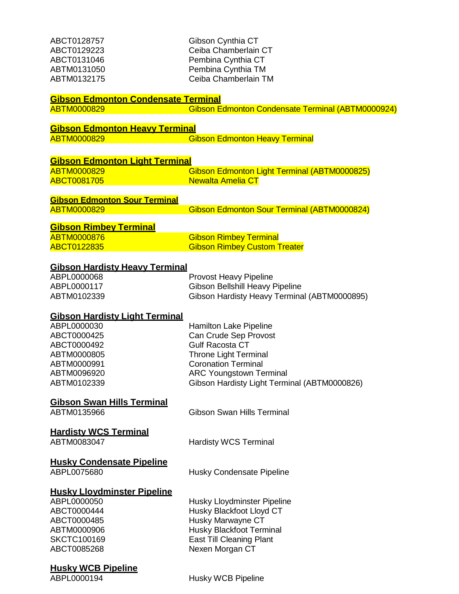| ABCT0128757<br>ABCT0129223<br>ABCT0131046<br>ABTM0131050<br>ABTM0132175 | Gibson Cynthia CT<br>Ceiba Chamberlain CT<br>Pembina Cynthia CT<br>Pembina Cynthia TM<br>Ceiba Chamberlain TM |
|-------------------------------------------------------------------------|---------------------------------------------------------------------------------------------------------------|
| <b>Gibson Edmonton Condensate Terminal</b>                              |                                                                                                               |
| ABTM0000829                                                             | Gibson Edmonton Condensate Terminal (ABTM0000924)                                                             |
| <b>Gibson Edmonton Heavy Terminal</b>                                   |                                                                                                               |
| <b>ABTM0000829</b>                                                      | <b>Gibson Edmonton Heavy Terminal</b>                                                                         |
|                                                                         |                                                                                                               |
| <b>Gibson Edmonton Light Terminal</b><br><b>ABTM0000829</b>             |                                                                                                               |
| <b>ABCT0081705</b>                                                      | Gibson Edmonton Light Terminal (ABTM0000825)<br><b>Newalta Amelia CT</b>                                      |
|                                                                         |                                                                                                               |
| <b>Gibson Edmonton Sour Terminal</b>                                    |                                                                                                               |
| <b>ABTM0000829</b>                                                      | Gibson Edmonton Sour Terminal (ABTM0000824)                                                                   |
| <b>Gibson Rimbey Terminal</b>                                           |                                                                                                               |
| <b>ABTM0000876</b>                                                      | <b>Gibson Rimbey Terminal</b>                                                                                 |
| <b>ABCT0122835</b>                                                      | <b>Gibson Rimbey Custom Treater</b>                                                                           |
| <b>Gibson Hardisty Heavy Terminal</b>                                   |                                                                                                               |
| ABPL0000068                                                             | <b>Provost Heavy Pipeline</b>                                                                                 |
| ABPL0000117                                                             | Gibson Bellshill Heavy Pipeline                                                                               |
| ABTM0102339                                                             | Gibson Hardisty Heavy Terminal (ABTM0000895)                                                                  |
| <b>Gibson Hardisty Light Terminal</b>                                   |                                                                                                               |
| ABPL0000030                                                             | <b>Hamilton Lake Pipeline</b>                                                                                 |
| ABCT0000425                                                             | Can Crude Sep Provost                                                                                         |
| ABCT0000492                                                             | <b>Gulf Racosta CT</b>                                                                                        |
| ABTM0000805<br>ABTM0000991                                              | <b>Throne Light Terminal</b><br><b>Coronation Terminal</b>                                                    |
| ABTM0096920                                                             | <b>ARC Youngstown Terminal</b>                                                                                |
| ABTM0102339                                                             | Gibson Hardisty Light Terminal (ABTM0000826)                                                                  |
|                                                                         |                                                                                                               |
| <b>Gibson Swan Hills Terminal</b>                                       |                                                                                                               |
| ABTM0135966                                                             | <b>Gibson Swan Hills Terminal</b>                                                                             |
| <b>Hardisty WCS Terminal</b>                                            |                                                                                                               |
| ABTM0083047                                                             | <b>Hardisty WCS Terminal</b>                                                                                  |
|                                                                         |                                                                                                               |
| <b>Husky Condensate Pipeline</b><br>ABPL0075680                         | Husky Condensate Pipeline                                                                                     |
|                                                                         |                                                                                                               |
| <b>Husky Lloydminster Pipeline</b>                                      |                                                                                                               |
| ABPL0000050                                                             | Husky Lloydminster Pipeline                                                                                   |
| ABCT0000444                                                             | Husky Blackfoot Lloyd CT                                                                                      |
| ABCT0000485<br>ABTM0000906                                              | Husky Marwayne CT<br>Husky Blackfoot Terminal                                                                 |
| <b>SKCTC100169</b>                                                      | <b>East Till Cleaning Plant</b>                                                                               |
| ABCT0085268                                                             | Nexen Morgan CT                                                                                               |
| Husky WCR Pineline                                                      |                                                                                                               |
|                                                                         |                                                                                                               |

**Husky WCB Pipeline**

Husky WCB Pipeline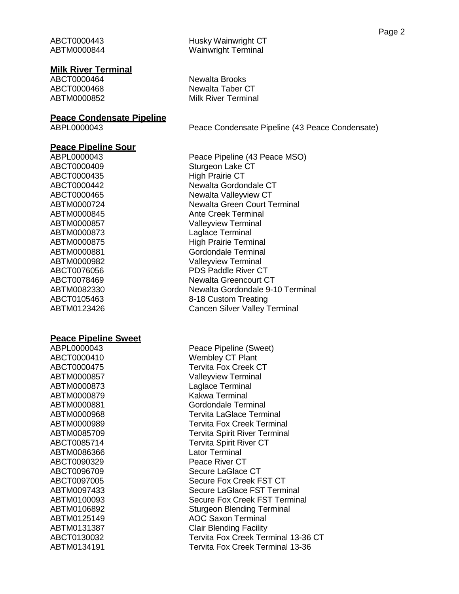#### **Milk River Terminal**

#### **Peace Condensate Pipeline**

#### **Peace Pipeline Sour**

ABCT0000435 High Prairie CT

#### **Peace Pipeline Sweet**

ABTM0000879 Kakwa Terminal ABTM0086366 Lator Terminal ABCT0090329 Peace River CT

ABPL0000043 Peace Pipeline (43 Peace MSO) ABCT0000409 Sturgeon Lake CT ABCT0000442 Newalta Gordondale CT ABCT0000465 Newalta Valleyview CT ABTM0000724 Newalta Green Court Terminal ABTM0000845 Ante Creek Terminal ABTM0000857 Valleyview Terminal ABTM0000873 Laglace Terminal ABTM0000875 High Prairie Terminal ABTM0000881 Gordondale Terminal ABTM0000982 Valleyview Terminal ABCT0076056 PDS Paddle River CT ABCT0078469 Newalta Greencourt CT ABTM0082330 Newalta Gordondale 9-10 Terminal ABCT0105463 8-18 Custom Treating ABTM0123426 Cancen Silver Valley Terminal

ABPL0000043 Peace Pipeline (Sweet) ABCT0000410 Wembley CT Plant ABCT0000475 Tervita Fox Creek CT ABTM0000857 Valleyview Terminal ABTM0000873 Laglace Terminal ABTM0000881 Gordondale Terminal ABTM0000968 Tervita LaGlace Terminal ABTM0000989 Tervita Fox Creek Terminal ABTM0085709 Tervita Spirit River Terminal ABCT0085714 Tervita Spirit River CT ABCT0096709 Secure LaGlace CT ABCT0097005 Secure Fox Creek FST CT ABTM0097433 Secure LaGlace FST Terminal ABTM0100093 Secure Fox Creek FST Terminal ABTM0106892 Sturgeon Blending Terminal ABTM0125149 AOC Saxon Terminal ABTM0131387 Clair Blending Facility ABCT0130032 Tervita Fox Creek Terminal 13-36 CT ABTM0134191 Tervita Fox Creek Terminal 13-36

ABCT0000464 Newalta Brooks ABCT0000468 Newalta Taber CT ABTM0000852 Milk River Terminal

ABPL0000043 Peace Condensate Pipeline (43 Peace Condensate)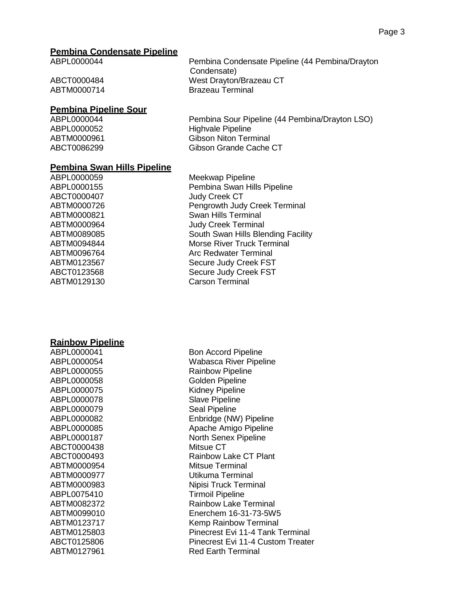#### **Pembina Condensate Pipeline**

ABPL0000044 Pembina Condensate Pipeline (44 Pembina/Drayton Condensate) ABCT0000484 West Drayton/Brazeau CT ABTM0000714 Brazeau Terminal

## **Pembina Pipeline Sour**

Pembina Sour Pipeline (44 Pembina/Drayton LSO) ABPL0000052 Highvale Pipeline ABTM0000961 Gibson Niton Terminal ABCT0086299 Gibson Grande Cache CT

#### **Pembina Swan Hills Pipeline**

ABPL0000059 Meekwap Pipeline ABPL0000155 Pembina Swan Hills Pipeline ABCT0000407 Judy Creek CT ABTM0000726 Pengrowth Judy Creek Terminal ABTM0000821 Swan Hills Terminal ABTM0000964 Judy Creek Terminal ABTM0089085 South Swan Hills Blending Facility ABTM0094844 Morse River Truck Terminal ABTM0096764 Arc Redwater Terminal ABTM0123567 Secure Judy Creek FST ABCT0123568 Secure Judy Creek FST ABTM0129130 Carson Terminal

**Rainbow Pipeline**

| ABPL0000041 |
|-------------|
| ABPL0000054 |
| ABPL0000055 |
| ABPL0000058 |
| ABPL0000075 |
| ABPL0000078 |
| ABPL0000079 |
| ABPL0000082 |
| ABPL0000085 |
| ABPL0000187 |
| ABCT0000438 |
| ABCT0000493 |
| ABTM0000954 |
| ABTM0000977 |
| ABTM0000983 |
| ABPL0075410 |
| ABTM0082372 |
| ABTM0099010 |
| ABTM0123717 |
| ABTM0125803 |
| ABCT0125806 |
| ABTM0127961 |

**Bon Accord Pipeline Wabasca River Pipeline Rainbow Pipeline Golden Pipeline Kidney Pipeline Slave Pipeline** Seal Pipeline Enbridge (NW) Pipeline Apache Amigo Pipeline **North Senex Pipeline** Mitsue CT Rainbow Lake CT Plant Mitsue Terminal Utikuma Terminal Nipisi Truck Terminal **Tirmoil Pipeline Rainbow Lake Terminal** Enerchem 16-31-73-5W5 Kemp Rainbow Terminal Pinecrest Evi 11-4 Tank Terminal Pinecrest Evi 11-4 Custom Treater **Red Earth Terminal**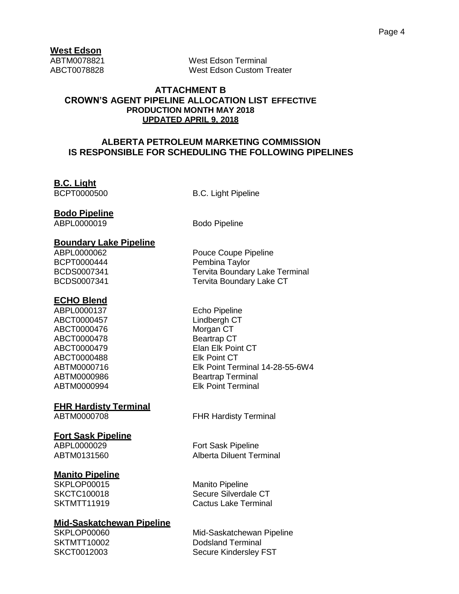## **West Edson**

ABTM0078821 West Edson Terminal ABCT0078828 West Edson Custom Treater

#### **ATTACHMENT B CROWN'S AGENT PIPELINE ALLOCATION LIST EFFECTIVE PRODUCTION MONTH MAY 2018 UPDATED APRIL 9, 2018**

### **ALBERTA PETROLEUM MARKETING COMMISSION IS RESPONSIBLE FOR SCHEDULING THE FOLLOWING PIPELINES**

## **B.C. Light**

BCPT0000500 B.C. Light Pipeline

### **Bodo Pipeline**

ABPL0000019 Bodo Pipeline

## **Boundary Lake Pipeline**

## **ECHO Blend**

ABPL0000137 Echo Pipeline ABCT0000457 Lindbergh CT ABCT0000476 Morgan CT ABCT0000478 Beartrap CT ABCT0000488 Elk Point CT

## **FHR Hardisty Terminal**

## **Fort Sask Pipeline**

## **Manito Pipeline**

SKPLOP00015 Manito Pipeline

#### **Mid-Saskatchewan Pipeline**

Pouce Coupe Pipeline BCPT0000444 Pembina Taylor BCDS0007341 Tervita Boundary Lake Terminal BCDS0007341 Tervita Boundary Lake CT

ABCT0000479 Elan Elk Point CT ABTM0000716 Elk Point Terminal 14-28-55-6W4 ABTM0000986 Beartrap Terminal ABTM0000994 Elk Point Terminal

ABTM0000708 FHR Hardisty Terminal

ABPL0000029 Fort Sask Pipeline ABTM0131560 Alberta Diluent Terminal

SKCTC100018 Secure Silverdale CT SKTMTT11919 Cactus Lake Terminal

SKPLOP00060 Mid-Saskatchewan Pipeline SKTMTT10002 Dodsland Terminal SKCT0012003 Secure Kindersley FST